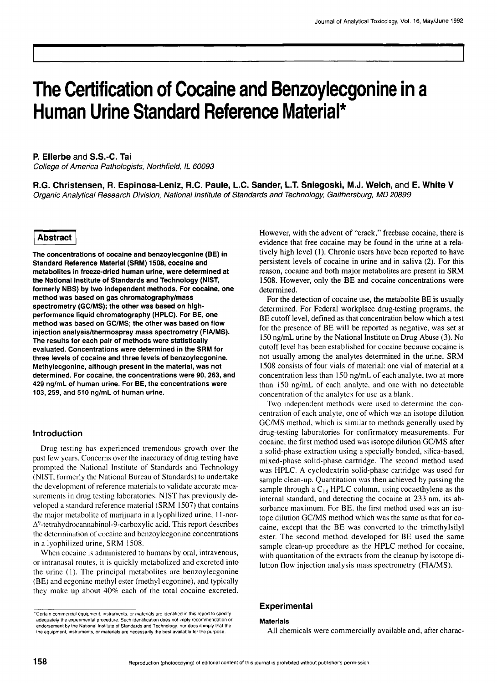# **The Certification of Cocaine and Benzoylecgonine in a Human Urine Standard Reference Material\***

**P. Ellerbe and S.S.-C. Tai** 

*College of America Pathologists', Northfield, IL 60093* 

**R.G. Christensen, R. Espinosa-Leniz, R.C. Paule, L.C. Sander, L.T. Sniegoski, M.J. Welch, and E. White V**  *Organic Analytical Research Division, National Institute of Standards and Technology, Gaithersburg, MD 20899* 

#### **Abstract**

**The concentrations of cocaine and benzoylecgonine (BE) in Standard Reference Material (SRM) 1508, cocaine and metabolites in freeze-dried human urine, were determined at the National Institute of Standards and Technology (NIST, formerly NBS) by two independent methods. For cocaine, one method was based on gas chromatography/mass spectrometry (GC/MS); the other was based on highperformance liquid chromatography (HPLC). For BE, one method was based on GC/MS; the other was based on flow injection analysis/thermospray mass spectrometry (FIAJMS). The results for each pair of methods were statistically evaluated. Concentrations were determined in the SRM for three levels of cocaine and three levels of benzoylecgonine. Methylecgonine, although present in the material, was not determined. For cocaine, the concentrations were 90, 263, and 429 ng/mL of human urine. For BE, the concentrations were 103, 259, and 510 ng/mL of human urine.** 

#### Introduction

Drug testing has experienced tremendous growth over the past few years. Concerns over the inaccuracy of drug testing have prompted the National Institute of Standards and Technology (NIST, formerly the National Bureau of Standards) to undertake thc development of reference materials to validate accurate measurements in drug testing laboratories. NIST has previously developed a standard reference material (SRM 1507) that contains the major metabolite of marijuana in a lyophilized urine, I 1-nor- $\Delta^9$ -tetrahydrocannabinol-9-carboxylic acid. This report describes the determination of cocaine and benzoylecgonine concentrations in a lyophilized urine, SRM 1508.

When cocaine is administered to humans by oral, intravenous, or intranasal routes, it is quickly metabolized and excreted into the urine (1). The principal metabolites are benzoylecgonine (BE) and ecgonine methyl ester (methyl ecgonine), and typically they make up about 40% each of the total cocaine excreted.

"Certain commercial equipment, instruments, or materials are identified in this report to specify adequately the experimental procedure. Such identification does not imply recommendation or endorsement by the National Institute of Standards and Technology. nor does it imply that **the**  the equipment, instruments, or materials are necessarily the best available for the purpose.

However, with the advent of "crack," freebase cocaine, there is evidence that free cocaine may be found in the urine at a relatively high level (1). Chronic users have been reported to have persistent levels of cocaine in urine and in saliva (2). For this reason, cocaine and both major metabolites are present in SRM 1508. However, only the BE and cocaine concentrations were determined.

For the detection of cocaine use, the metabolite BE is usually determined. For Federal workplace drug-testing programs, the BE cutoff level, defined as that concentration below which a test for the presence of BE will be reported as negative, was set at 150 ng/mL urine by the National Institute on Drug Abuse (3). No cutoff level has been established for cocaine because cocaine is not usually among the analytes determined in the urine. SRM 1508 consists of four vials of material: one vial of material at a concentration less than 150 ng/mL of each analyte, two at more than 150 ng/mL of each analyte, and one with no detectable concentration of the analytes for use as a blank.

Two independent methods were used to determine the concentration of each analyte, one of which was an isotope dilution GC/MS method, which is similar to methods generally used by drug-testing laboratories for confirmatory measurements. For cocaine, the first method used was isotope dilution GC/MS after a solid-phase extraction using a specially bonded, silica-based, mixed-phase solid-phase cartridge. The second method used was HPLC. A cyclodextrin solid-phase cartridge was used for sample clean-up. Quantitation was then achieved by passing the sample through a  $C_{18}$  HPLC column, using cocaethylene as the internal standard, and detecting the cocaine at 233 nm, its absorbance maximum. For BE, the first method used was an isotope dilution GC/MS method which was the same as that for cocaine, except that the BE was converted to the trimethylsilyl ester. The second method developed for BE used the same sample clean-up procedure as the HPLC method for cocaine, with quantitation of the extracts from the cleanup by isotope dilution flow injection analysis mass spectrometry (FIA/MS).

### **Experimental**

#### **Materials**

All chemicals were commercially available and, after charac-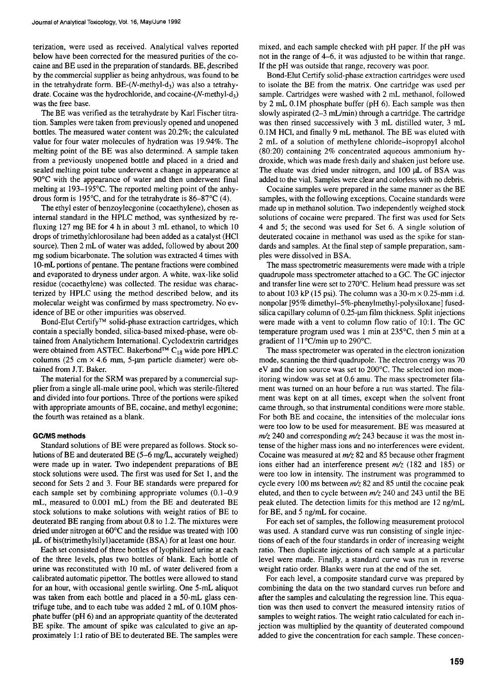terization, were used as received. Analytical valves reported below have been corrected for the measured purities of the cocaine and BE used in the preparation of standards. BE, described by the commercial supplier as being anhydrous, was found to be in the tetrahydrate form. BE- $(N$ -methyl-d<sub>3</sub>) was also a tetrahydrate. Cocaine was the hydrochloride, and cocaine- $(N$ -methyl-d<sub>3</sub>) was the free base.

The BE was verified as the tetrahydrate by Karl Fischer titration. Samples were taken from previously opened and unopened bottles. The measured water content was 20.2%; the calculated value for four water molecules of hydration was 19.94%. The melting point of the BE was also determined. A sample taken from a previously unopened bottle and placed in a dried and sealed melting point tube underwent a change in appearance at  $90^{\circ}$ C with the appearance of water and then underwent final melting at  $193-195^{\circ}$ C. The reported melting point of the anhydrous form is 195 $^{\circ}$ C, and for the tetrahydrate is 86-87 $^{\circ}$ C (4).

The ethyl ester of benzoylecgonine (cocaethylene), chosen as internal standard in the HPLC method, was synthesized by refluxing 127 mg BE for 4 h in about 3 mL ethanol, to which 10 drops of trimethylchlorosilane had been added as a catalyst (HCI source). Then 2 mL of water was added, followed by about 200 mg sodium bicarbonate. The solution was extracted 4 times with 10-mL portions of pentane. The pentane fractions were combined and evaporated to dryness under argon. A white, wax-like solid residue (cocaethylene) was collected. The residue was characterized by HPLC using the method described below, and its molecular weight was confirmed by mass spectrometry. No evidence of BE or other impurities was observed.

Bond-Elut Certify<sup>™</sup> solid-phase extraction cartridges, which contain a specially bonded, silica-based mixed-phase, were obtained from Analytichem International. Cyclodextrin cartridges were obtained from ASTEC. Bakerbond<sup>TM</sup> C<sub>18</sub> wide pore HPLC columns (25 cm  $\times$  4.6 mm, 5-µm particle diameter) were obtained from J.T. Baker.

The material for the SRM was prepared by a commercial supplier from a single all-male urine pool, which was sterile-filtered and divided into four portions. Three of the portions were spiked with appropriate amounts of BE, cocaine, and methyl ecgonine; the fourth was retained as a blank.

#### **GCIMS methods**

Standard solutions of BE were prepared as follows. Stock solutions of BE and deuterated BE (5-6 mg/L, accurately weighed) were made up in water. Two independent preparations of BE stock solutions were used. The first was used for Set l, and the second for Sets 2 and 3. Four BE standards were prepared for each sample set by combining appropriate volumes (0.1-0.9 mL, measured to 0.001 mL) from the BE and deuterated BE stock solutions to make solutions with weight ratios of BE to deuterated BE ranging from about 0.8 to 1.2. The mixtures were dried under nitrogen at  $60^{\circ}$ C and the residue was treated with 100  $\mu$ L of bis(trimethylsilyl)acetamide (BSA) for at least one hour.

Each set consisted of three bottles of lyophilized urine at each of the three levels, plus two bottles of blank. Each bottle of urine was reconstituted with l0 mL of water delivered from a calibrated automatic pipettor. The bottles were allowed to stand for an hour, with occasional gentle swirling. One 5-mL aliquot was taken from each bottle and placed in a 50-mL glass centrifuge tube, and to each tube was added 2 mL of 0.10M phosphate buffer (pH 6) and an appropriate quantity of the deuterated BE spike. The amount of spike was calculated to give an approximately 1:1 ratio of BE to deuterated BE. The samples were mixed, and each sample checked with pH paper. If the pH was not in the range of 4-6, it was adjusted to be within that range. If the pH was outside that range, recovery was poor.

Bond-Elut Certify solid-phase extraction cartridges were used to isolate the BE from the matrix. One cartridge was used per sample. Cartridges were washed with 2 mL methanol, followed by 2 mL 0.1M phosphate buffer (pH 6). Each sample was then slowly aspirated (2-3 mL/min) through a cartridge. The cartridge was then rinsed successively with 3 mL distilled water, 3 mL 0.1M HC1, and finally 9 mL methanol. The BE was eluted with 2 mL of a solution of methylene chloride-isopropyl alcohol (80:20) containing 2% concentrated aqueous ammonium hydroxide, which was made fresh daily and shaken just before use. The eluate was dried under nitrogen, and 100 µL of BSA was added to the vial. Samples were clear and colorless with no debris.

Cocaine samples were prepared in the same manner as the BE samples, with the following exceptions. Cocaine standards were made up in methanol solution. Two independently weighed stock solutions of cocaine were prepared. The first was used for Sets 4 and 5; the second was used for Set 6. A single solution of deuterated cocaine in methanol was used as the spike for standards and samples. At the final step of sample preparation, samples were dissolved in BSA.

The mass spectrometric measurements were made with a triple quadrupole mass spectrometer attached to a GC. The GC injector and transfer line were set to  $270^{\circ}$ C. Helium head pressure was set to about 103 kP (15 psi). The column was a 30-m  $\times$  0.25-mm i.d. nonpolar [95% dimethyl-5%-phenylmethyl-polysiloxane] fusedsilica capillary column of 0.25-um film thickness. Split injections were made with a vent to column flow ratio of 10:l. The GC temperature program used was 1 min at  $235^{\circ}$ C, then 5 min at a gradient of  $11^{\circ}$ C/min up to 290 $^{\circ}$ C.

The mass spectrometer was operated in the electron ionization mode, scanning the third quadrupole. The electron energy was 70 eV and the ion source was set to 200°C. The selected ion monitoring window was set at 0.6 amu. The mass spectrometer filament was turned on an hour before a run was started. The filament was kept on at all times, except when the solvent front came through, so that instrumental conditions were more stable. For both BE and cocaine, the intensities of the molecular ions were too low to be used for measurement. BE was measured at  $m/z$  240 and corresponding  $m/z$  243 because it was the most intense of the higher mass ions and no interferences were evident. Cocaine was measured at  $m/z$  82 and 85 because other fragment ions either had an interference present  $m/z$  (182 and 185) or were too low in intensity. The instrument was programmed to cycle every 100 ms between  $m/z$  82 and 85 until the cocaine peak eluted, and then to cycle between  $m/z$  240 and 243 until the BE peak eluted. The detection limits for this method are 12 ng/mL for BE, and 5 ng/mL for cocaine.

For each set of samples, the following measurement protocol was used. A standard curve was run consisting of single injections of each of the four standards in order of increasing weight ratio. Then duplicate injections of each sample at a particular level were made. Finally, a standard curve was run in reverse weight ratio order. Blanks were run at the end of the set.

For each level, a composite standard curve was prepared by combining the data on the two standard curves run before and after the samples and calculating the regression line. This equation was then used to convert the measured intensity ratios of samples to weight ratios. The weight ratio calculated for each injection was multiplied by the quantity of deuterated compound added to give the concentration for each sample. These concen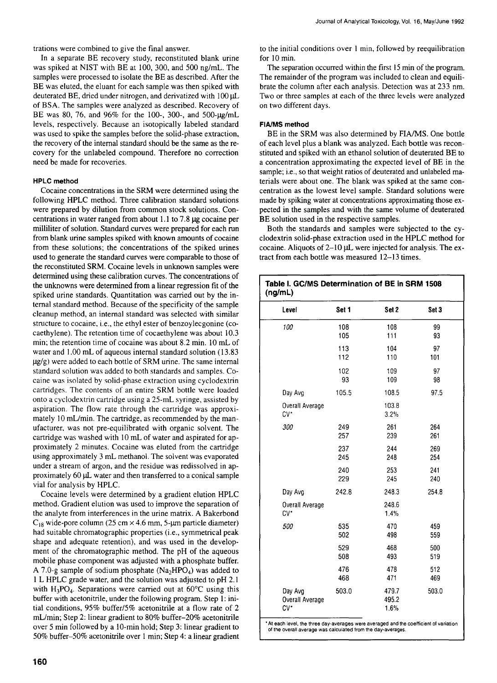trations were combined to give the final answer.

In a separate BE recovery study, reconstituted blank urine was spiked at NIST with BE at 100, 300, and 500 ng/mL. The samples were processed to isolate the BE as described. After the BE was eluted, the eluant for each sample was then spiked with deuterated BE, dried under nitrogen, and derivatized with 100  $\mu$ L of BSA. The samples were analyzed as described. Recovery of BE was 80, 76, and 96% for the 100-, 300-, and 500-µg/mL levels, respectively. Because an isotopically labeled standard was used to spike the samples before the solid-phase extraction, the recovery of the internal standard should be the same as the recovery for the unlabeled compound. Therefore no correction need be made for recoveries.

#### **HPLC method**

Cocaine concentrations in the SRM were determined using the following HPLC method. Three calibration standard solutions were prepared by dilution from common stock solutions. Concentrations in water ranged from about 1.1 to 7.8  $\mu$ g cocaine per milliliter of solution. Standard curves were prepared for each run from blank urine samples spiked with known amounts of cocaine from these solutions; the concentrations of the spiked urines used to generate the standard curves were comparable to those of the reconstituted SRM. Cocaine levels in unknown samples were determined using these calibration curves. The concentrations of the unknowns were determined from a linear regression fit of the spiked urine standards. Quantitation was carried out by the internal standard method. Because of the specificity of the sample cleanup method, an internal standard was selected with similar structure to cocaine, i.e., the ethyl ester of benzoylecgonine (cocaethylene). The retention time of cocaethylene was about 10.3 min; the retention time of cocaine was about 8.2 min. 10 mL of water and 1.00 mL of aqueous internal standard solution (13.83  $\mu$ g/g) were added to each bottle of SRM urine. The same internal standard solution was added to both standards and samples. Cocaine was isolated by solid-phase extraction using cyclodextrin cartridges. The contents of an entire SRM bottle were loaded onto a cyclodextrin cartridge using a 25-mL syringe, assisted by aspiration. The flow rate through the cartridge was approximately 10 mL/min. The cartridge, as recommended by the manufacturer, was not pre-equilibrated with organic solvent. The cartridge was washed with 10 mL of water and aspirated for approximately 2 minutes. Cocaine was eluted from the cartridge using approximately 3 mL methanol. The solvent was evaporated under a stream of argon, and the residue was redissolved in approximately  $60 \mu L$  water and then transferred to a conical sample vial for analysis by HPLC.

Cocaine levels were determined by a gradient elution HPLC method. Gradient elution was used to improve the separation of the analyte from interferences in the urine matrix. A Bakerbond  $C_{18}$  wide-pore column (25 cm  $\times$  4.6 mm, 5-µm particle diameter) bad suitable chromatographic properties (i.e., symmetrical peak shape and adequate retention), and was used in the development of the chromatographic method. The pH of the aqueous mobile phase component was adjusted with a phosphate buffer. A 7.0-g sample of sodium phosphate  $(Na_2HPO_4)$  was added to 1 L HPLC grade water, and the solution was adjusted to pH 2.1 with  $H_3PO_4$ . Separations were carried out at 60 $°C$  using this buffer with acetonitrile, under the following program. Step 1: initial conditions, 95% buffer/5% acetonitrile at a flow rate of 2 mL/min; Step 2: linear gradient to 80% buffer-20% acetonitrile over 5 min followed by a 10-min hold; Step 3: linear gradient to 50% buffer-50% acetonitrile over 1 min; Step 4: a linear gradient to the initial conditions over 1 min, followed by reequilibration for 10 min.

The separation occurred within the first 15 min of the program. The remainder of the program was included to clean and equilibrate the column after each analysis. Detection was at 233 nm. Two or three samples at each of the three levels were analyzed on two different days.

#### **FIA/MS method**

BE in the SRM was also determined by FIA/MS. One bottle of each level plus a blank was analyzed. Each bottle was reconstituted and spiked with an ethanol solution of deuterated BE to a concentration approximating the expected level of BE in the sample; i.e., so that weight ratios of deuterated and unlabeled materials were about one. The blank was spiked at the same concentration as the lowest level sample. Standard solutions were made by spiking water at concentrations approximating those expected in the samples and with the same volume of deuterated BE solution used in the respective samples.

Both the standards and samples were subjected to the cyclodextrin solid-phase extraction used in the HPLC method for cocaine. Aliquots of  $2-10 \mu L$  were injected for analysis. The extract from each bottle was measured 12-13 times.

| Level                             | Set 1 | Set <sub>2</sub>       | Set 3 |
|-----------------------------------|-------|------------------------|-------|
| 100                               | 108   | 108                    | 99    |
|                                   | 105   | 111                    | 93    |
|                                   | 113   | 104                    | 97    |
|                                   | 112   | 110                    | 101   |
|                                   | 102   | 109                    | 97    |
|                                   | 93    | 109                    | 98    |
| Day Avg                           | 105.5 | 108.5                  | 97.5  |
| Overall Average<br>$CV^*$         |       | 103.8<br>3.2%          |       |
| 300                               | 249   | 261                    | 264   |
|                                   | 257   | 239                    | 261   |
|                                   | 237   | 244                    | 269   |
|                                   | 245   | 248                    | 254   |
|                                   | 240   | 253                    | 241   |
|                                   | 229   | 245                    | 240   |
| Day Avg                           | 242.8 | 248.3                  | 254.8 |
| Overall Average<br>$CV^*$         |       | 248.6<br>1.4%          |       |
| 500                               | 535   | 470                    | 459   |
|                                   | 502   | 498                    | 559   |
|                                   | 529   | 468                    | 500   |
|                                   | 508   | 493                    | 519   |
|                                   | 476   | 478                    | 512   |
|                                   | 468   | 471                    | 469   |
| Day Avg<br>Overall Average<br>CV* | 503.0 | 479.7<br>495.2<br>1.6% | 503.0 |

At each level, the three day-averages were averaged and the coefficient of variation of the overall average was calculated from the day-averages.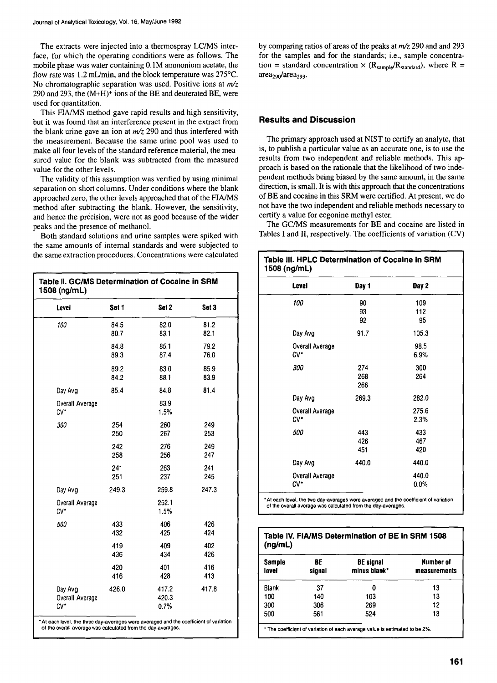The extracts were injected into a thermospray LC/MS interface, for which the operating conditions were as follows. The mobile phase was water containing 0.1M ammonium acetate, the flow rate was 1.2 mL/min, and the block temperature was  $275^{\circ}$ C. No chromatographic separation was used. Positive ions at  $m/z$ 290 and 293, the  $(M+H)^+$  ions of the BE and deuterated BE, were used for quantitation.

This FIA/MS method gave rapid results and high sensitivity, but it was found that an interference present in the extract from the blank urine gave an ion at  $m/z$  290 and thus interfered with the measurement. Because the same urine pool was used to make all four levels of the standard reference material, the measured value for the blank was subtracted from the measured value for the other levels.

The validity of this assumption was verified by using minimal separation on short columns. Under conditions where the blank approached zero, the other levels approached that of the HA/MS method after subtracting the blank. However, the sensitivity, and hence the precision, were not as good because of the wider peaks and the presence of methanol.

Both standard solutions and urine samples were spiked with the same amounts of internal standards and were subjected to the same extraction procedures. Concentrations were calculated

| Level                      | Set 1 | Set 2          | Set 3 |
|----------------------------|-------|----------------|-------|
| 100                        | 84.5  | 82.0           | 81.2  |
|                            | 80.7  | 83.1           | 82.1  |
|                            | 84.8  | 85.1           | 79.2  |
|                            | 89.3  | 87.4           | 76.0  |
|                            | 89.2  | 83.0           | 85.9  |
|                            | 84.2  | 88.1           | 83.9  |
| Day Avg                    | 85.4  | 84.8           | 81.4  |
| Overall Average<br>CV*     |       | 83.9<br>1.5%   |       |
| 300                        | 254   | 260            | 249   |
|                            | 250   | 267            | 253   |
|                            | 242   | 276            | 249   |
|                            | 258   | 256            | 247   |
|                            | 241   | 263            | 241   |
|                            | 251   | 237            | 245   |
| Day Avg                    | 249.3 | 259.8          | 247.3 |
| Overall Average<br>$CV^*$  |       | 252.1<br>1.5%  |       |
| 500                        | 433   | 406            | 426   |
|                            | 432   | 425            | 424   |
|                            | 419   | 409            | 402   |
|                            | 436   | 434            | 426   |
|                            | 420   | 401            | 416   |
|                            | 416   | 428            | 413   |
| Day Avg<br>Overall Average | 426.0 | 417.2<br>420.3 | 417.8 |

9 At each level, **the three day-averages were** averaged and **the coefficient** of variation of the overall average was calculated from the day-averages.

by comparing ratios of areas of the peaks at  $m/z$  290 and and 293 for the samples and for the standards; i.e., sample concentration = standard concentration  $\times$  (R<sub>sample</sub>/R<sub>standard</sub>), where R =  $area_{290}/area_{293}$ .

# **Results and Discussion**

The primary approach used at NIST to certify an analyte, that is, to publish a particular value as an accurate one, is to use the results from two independent and reliable methods. This approach is based on the rationale that the likelihood of two independent methods being biased by the same amount, in the same direction, is small. It is with this approach that the concentrations of BE and cocaine in this SRM were certified. At present, we do not have the two independent and reliable methods necessary to certify a value for ecgonine methyl ester.

The GC/MS measurements for BE and cocaine are listed in Tables I and II, respectively. The coefficients of variation (CV)

| Table III. HPLC Determination of Cocaine in SRM<br>1508 (ng/mL) |                   |  |  |
|-----------------------------------------------------------------|-------------------|--|--|
| Day 1                                                           | Day 2             |  |  |
| 90<br>93<br>92                                                  | 109<br>112<br>95  |  |  |
| 91.7                                                            | 105.3             |  |  |
|                                                                 | 98.5<br>6.9%      |  |  |
| 274<br>268<br>266                                               | 300<br>264        |  |  |
| 269.3                                                           | 282.0             |  |  |
|                                                                 | 275.6<br>2.3%     |  |  |
| 443<br>426<br>451                                               | 433<br>467<br>420 |  |  |
| 440.0                                                           | 440.0             |  |  |
|                                                                 | 440.0<br>0.0%     |  |  |
|                                                                 |                   |  |  |

9 At each level, the two **day-averages were averaged and the coefficient** of variation of **the overall average was calculated from the day-averages.** 

| <b>Sample</b><br>level | BE<br>signal | <b>BE</b> signal<br>minus blank* | Number of<br>measurements |
|------------------------|--------------|----------------------------------|---------------------------|
| Blank                  | 37           | 0                                | 13                        |
| 100                    | 140          | 103                              | 13                        |
| 300                    | 306          | 269                              | 12                        |
| 500                    | 561          | 524                              | 13                        |